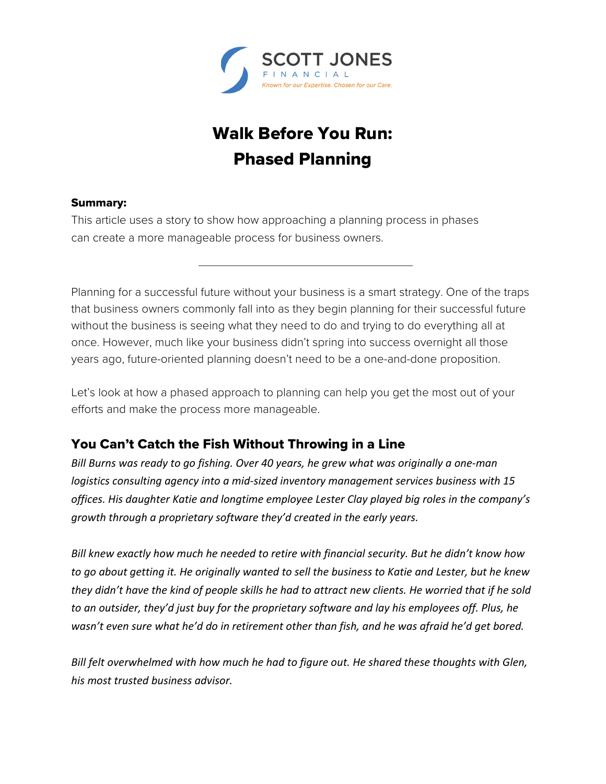

# Walk Before You Run: Phased Planning

### Summary:

This article uses a story to show how approaching a planning process in phases can create a more manageable process for business owners.

Planning for a successful future without your business is a smart strategy. One of the traps that business owners commonly fall into as they begin planning for their successful future without the business is seeing what they need to do and trying to do everything all at once. However, much like your business didn't spring into success overnight all those years ago, future-oriented planning doesn't need to be a one-and-done proposition.

Let's look at how a phased approach to planning can help you get the most out of your efforts and make the process more manageable.

# You Can't Catch the Fish Without Throwing in a Line

*Bill Burns was ready to go fishing. Over 40 years, he grew what was originally a one‐man logistics consulting agency into a mid‐sized inventory management services business with 15 offices. His daughter Katie and longtime employee Lester Clay played big roles in the company's growth through a proprietary software they'd created in the early years.* 

*Bill knew exactly how much he needed to retire with financial security. But he didn't know how to go about getting it. He originally wanted to sell the business to Katie and Lester, but he knew they didn't have the kind of people skills he had to attract new clients. He worried that if he sold to an outsider, they'd just buy for the proprietary software and lay his employees off. Plus, he wasn't even sure what he'd do in retirement other than fish, and he was afraid he'd get bored.* 

*Bill felt overwhelmed with how much he had to figure out. He shared these thoughts with Glen, his most trusted business advisor.*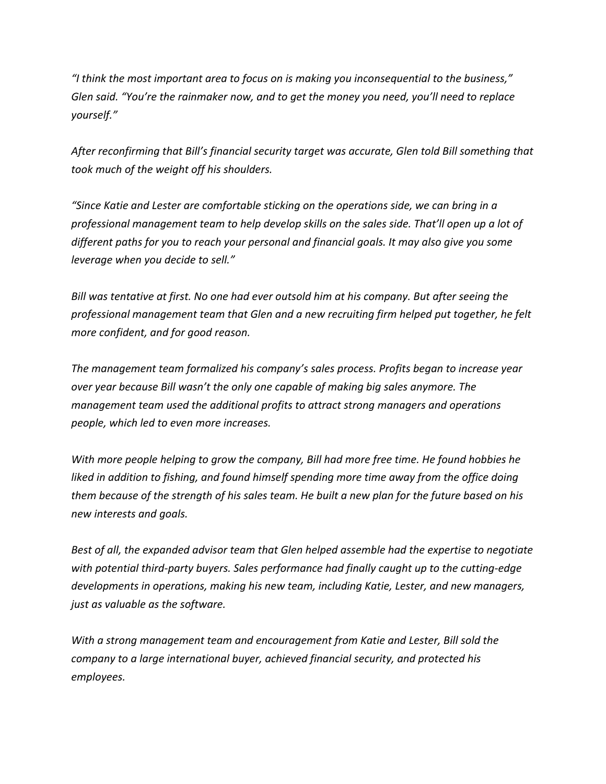*"I think the most important area to focus on is making you inconsequential to the business," Glen said. "You're the rainmaker now, and to get the money you need, you'll need to replace yourself."* 

*After reconfirming that Bill's financial security target was accurate, Glen told Bill something that took much of the weight off his shoulders.* 

*"Since Katie and Lester are comfortable sticking on the operations side, we can bring in a professional management team to help develop skills on the sales side. That'll open up a lot of different paths for you to reach your personal and financial goals. It may also give you some leverage when you decide to sell."* 

*Bill was tentative at first. No one had ever outsold him at his company. But after seeing the professional management team that Glen and a new recruiting firm helped put together, he felt more confident, and for good reason.* 

*The management team formalized his company's sales process. Profits began to increase year over year because Bill wasn't the only one capable of making big sales anymore. The management team used the additional profits to attract strong managers and operations people, which led to even more increases.* 

*With more people helping to grow the company, Bill had more free time. He found hobbies he*  liked in addition to fishing, and found himself spending more time away from the office doing *them because of the strength of his sales team. He built a new plan for the future based on his new interests and goals.* 

*Best of all, the expanded advisor team that Glen helped assemble had the expertise to negotiate with potential third‐party buyers. Sales performance had finally caught up to the cutting‐edge developments in operations, making his new team, including Katie, Lester, and new managers, just as valuable as the software.* 

*With a strong management team and encouragement from Katie and Lester, Bill sold the company to a large international buyer, achieved financial security, and protected his employees.*